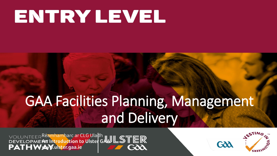# ENTRY LEVEL

## GAA Facilities Planning, Management and Delivery

**VOLUNTEER Réamhamharc ar CLG Uladh<br>DEVELOPMENT Introduction to Ulster GAULLSTER** 

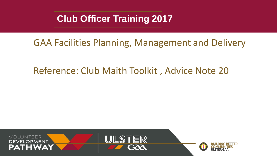#### **Club Officer Training 2017**

#### GAA Facilities Planning, Management and Delivery

#### Reference: Club Maith Toolkit , Advice Note 20

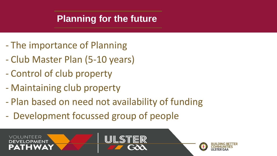- The importance of Planning
- Club Master Plan (5-10 years)
- Control of club property
- Maintaining club property
- Plan based on need not availability of funding
- Development focussed group of people

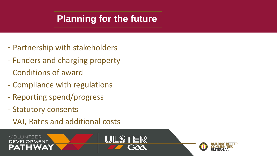- Partnership with stakeholders
- Funders and charging property
- Conditions of award
- Compliance with regulations
- Reporting spend/progress
- Statutory consents
- VAT, Rates and additional costs



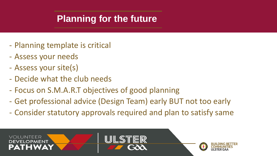- Planning template is critical
- Assess your needs
- Assess your site(s)
- Decide what the club needs
- Focus on S.M.A.R.T objectives of good planning
- Get professional advice (Design Team) early BUT not too early
- Consider statutory approvals required and plan to satisfy same

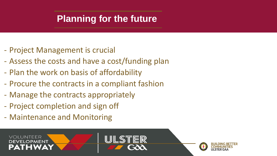- Project Management is crucial
- Assess the costs and have a cost/funding plan
- Plan the work on basis of affordability
- Procure the contracts in a compliant fashion
- Manage the contracts appropriately
- Project completion and sign off
- Maintenance and Monitoring